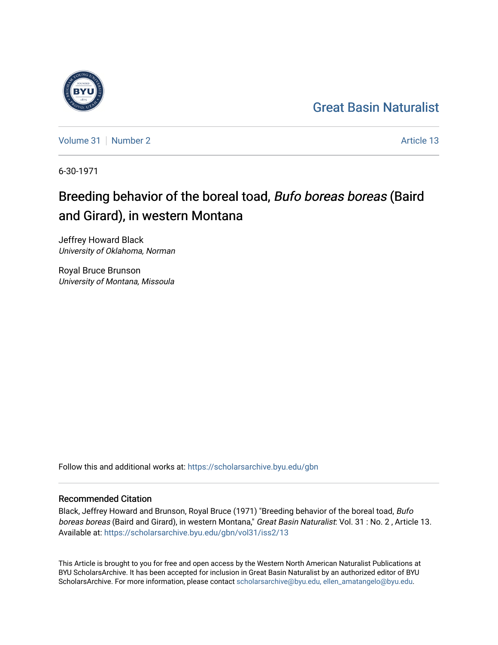## [Great Basin Naturalist](https://scholarsarchive.byu.edu/gbn)



[Volume 31](https://scholarsarchive.byu.edu/gbn/vol31) | [Number 2](https://scholarsarchive.byu.edu/gbn/vol31/iss2) Article 13

6-30-1971

# Breeding behavior of the boreal toad, Bufo boreas boreas (Baird and Girard), in western Montana

Jeffrey Howard Black University of Oklahoma, Norman

Royal Bruce Brunson University of Montana, Missoula

Follow this and additional works at: [https://scholarsarchive.byu.edu/gbn](https://scholarsarchive.byu.edu/gbn?utm_source=scholarsarchive.byu.edu%2Fgbn%2Fvol31%2Fiss2%2F13&utm_medium=PDF&utm_campaign=PDFCoverPages) 

### Recommended Citation

Black, Jeffrey Howard and Brunson, Royal Bruce (1971) "Breeding behavior of the boreal toad, Bufo boreas boreas (Baird and Girard), in western Montana," Great Basin Naturalist: Vol. 31 : No. 2, Article 13. Available at: [https://scholarsarchive.byu.edu/gbn/vol31/iss2/13](https://scholarsarchive.byu.edu/gbn/vol31/iss2/13?utm_source=scholarsarchive.byu.edu%2Fgbn%2Fvol31%2Fiss2%2F13&utm_medium=PDF&utm_campaign=PDFCoverPages) 

This Article is brought to you for free and open access by the Western North American Naturalist Publications at BYU ScholarsArchive. It has been accepted for inclusion in Great Basin Naturalist by an authorized editor of BYU ScholarsArchive. For more information, please contact [scholarsarchive@byu.edu, ellen\\_amatangelo@byu.edu.](mailto:scholarsarchive@byu.edu,%20ellen_amatangelo@byu.edu)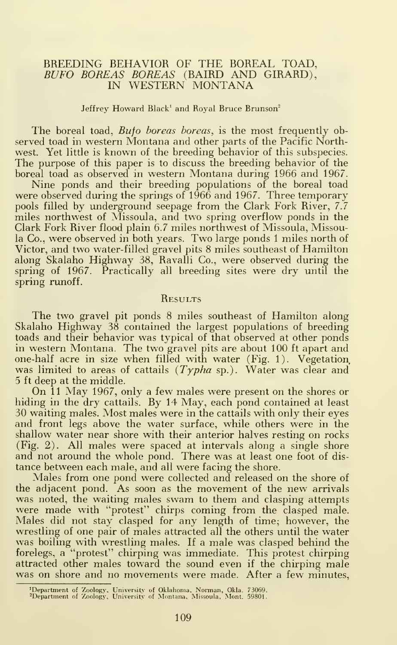#### BREEDING BEHAVIOR OF THE BOREAL TOAD, BUFO BOREAS BOREAS (BAIRD AND GIRARD), IN WESTERN MONTANA

#### Jeffrey Howard Black<sup>1</sup> and Royal Bruce Brunson<sup>2</sup>

The boreal toad, *Buto boreas boreas*, is the most frequently observed toad in western Montana and other parts of the Pacific Northwest. Yet little is known of the breeding behavior of this subspecies. The purpose of this paper is to discuss the breeding behavior of the boreal toad as observed in western Montana during 1966 and 1967.

Nine ponds and their breeding populations of the boreal toad were observed during the springs of 1966 and 1967. Three temporary pools filled by underground seepage from the Clark Fork River, 7.7 miles northwest of Missoula, and two spring overflow ponds in the Clark Fork River flood plain 6.7 miles northwest of Missoula, Missoula Co., were observed in both years. Two large ponds <sup>1</sup> miles north of Victor, and two water-filled gravel pits 8 miles southeast of Hamilton along Skalaho Highway 38, Ravalli Co., were observed during the spring of 1967. Practically all breeding sites were dry until the spring runoff.

#### **RESULTS**

The two gravel pit ponds 8 miles southeast of Hamilton along Skalaho Highway 38 contained the largest populations of breeding toads and their behavior was typical of that observed at other ponds in western Montana. The two gravel pits are about 100 ft apart and one-half acre in size when filled with water (Fig. 1). Vegetation,  $\qquad \qquad$ was limited to areas of cattails  $(Typha$  sp.). Water was clear and 5 ft deep at the middle.

On <sup>11</sup> May 1967, only <sup>a</sup> few males were present on the shores or hiding in the dry cattails. By 14 May, each pond contained at least 30 waiting males. Most males were in the cattails with only their eyes and front legs above the water surface, while others were in the shallow water near shore with their anterior halves resting on rocks (Fig. 2). All males were spaced at intervals along a single shore and not around the whole pond. There was at least one foot of dis tance between each male, and all were facing the shore.

Males from one pond were collected and released on the shore of the adjacent pond. As soon as the movement of the new arrivals was noted, the waiting males swam to them and clasping attempts were made with "protest" chirps coming from the clasped male. Males did not stay clasped for any length of time; however, the wrestling of one pair of males attracted all the others until the water was boiling with wrestling males. If a male was clasped behind the forelegs, a "protest" chirping was immediate. This protest chirping attracted other males toward the sound even if the chirping male was on shore and no movements were made. After a few minutes,

<sup>&#</sup>x27;Department of Zoology. University of Oklahoma. Norman, Okla. 73069.<br>'Department of Zoology. University of Montana, Missoula, Mont. 59801.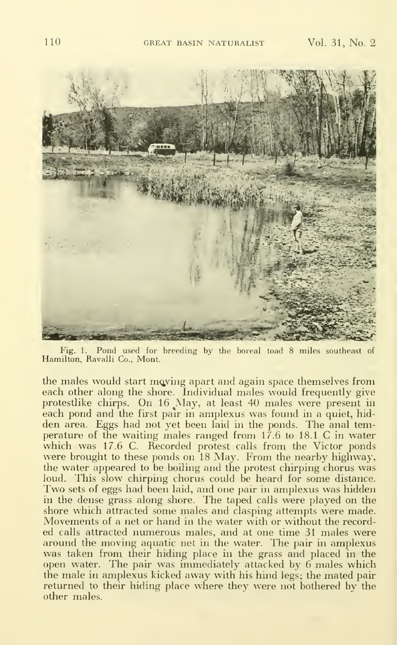

Fig. 1. Pond used for breeding by the boreal toad 8 miles southeast of Hamilton, Ravalli Co., Mont.

the males would start moving apart and again space themselves from each other along the shore. Individual males would frequently give protestlike chirps. On 16 May, at least 40 males were present in each pond and the first pair in amplexus was found in a quiet, hidden area. Eggs had not yet been laid in the ponds. The anal temperature of the waiting males ranged from  $17.6$  to  $18.1$  C in water which was 17.6 C. Recorded protest calls from the Victor ponds were brought to these ponds on 18 May. From the nearby highway, the water appeared to be boiling and the protest chirping chorus was loud. This slow chirping chorus could be heard for some distance. Two sets of eggs had been laid, and one pair in amplexus was hidden in the dense grass along shore. The taped calls were played on the shore which attracted some males and clasping attempts were made. Movements of a net or hand in the water with or without the recorded calls attracted numerous males, and at one time 31 males were around the moving aquatic net in the water. The pair in amplexus was taken from their hiding place in the grass and placed in the open water. The pair was immediately attacked by 6 males which the male in amplexus kicked away with his hind legs; the mated pair returned to their hiding place where they were not bothered by the other males.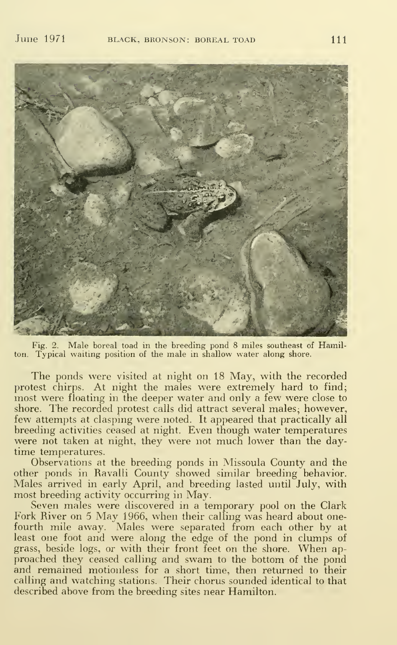

Fig. 2. Male boreal toad in the breeding pond 8 miles southeast of Hamilton. Typical waiting position of the male in shallow water along shore.

The ponds were visited at night on 18 May, with the recorded protest chirps. At night the males were extremely hard to find; most were floating in the deeper water and only a few were close to shore. The recorded protest calls did attract several males; however, few attempts at clasping were noted. It appeared that practically all breeding activities ceased at night. Even though water temperatures were not taken at night, they were not much lower than the daytime temperatures.

Observations at the breeding ponds in Missoula County and the other ponds in Ravalli County showed similar breeding behavior. Males arrived in early April, and breeding lasted until July, with most breeding activity occurring in May.

Seven males were discovered in a temporary pool on the Clark Fork River on <sup>5</sup> May 1966, when their calling was heard about one fourth mile away. Males were separated from each other by at least one foot and were along the edge of the pond in clumps of grass, beside logs, or with their front feet on the shore. When ap proached they ceased calling and swam to the bottom of the pond and remained motionless for a short time, then returned to their calling and watching stations. Their chorus sounded identical to that described above from the breeding sites near Hamilton.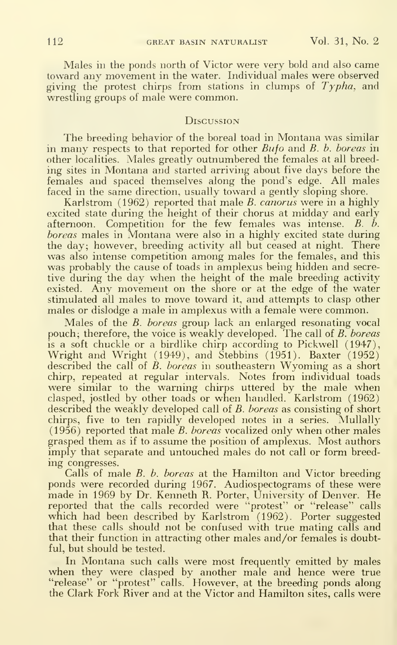Males in the ponds north of Victor were very bold and also came toward any movement in the water. Individual males were observed giving the protest chirps from stations in clumps of Typha, and wrestling groups of male were common.

#### Discussion

The breeding behavior of the boreal toad in Montana was similar in many respects to that reported for other Bufo and B. b. boreas in other localities. Males greatly outnumbered the females at all breeding sites in Montana and started arriving about five days before the females and spaced themselves along the pond's edge. All males faced in the same direction, usually toward a gently sloping shore.

Karlstrom  $(1962)$  reported that male B. canorus were in a highly excited state during the height of their chorus at midday and early afternoon. Competition for the few females was intense.  $B$ .  $\ddot{b}$ . boreas males in Montana were also in a highly excited state during the day; however, breeding activity all but ceased at night. There was also intense competition among males for the females, and this was probably the cause of toads in amplexus being hidden and secretive during the day when the height of the male breeding activity existed. Any movement on the shore or at the edge of the water stimulated all males to move toward it, and attempts to clasp other males or dislodge a male in amplexus with a female were common.

Males of the *B. boreas* group lack an enlarged resonating vocal pouch; therefore, the voice is weakly developed. The call of B. boreas is a soft chuckle or a birdlike chirp according to Pickwell (1947), Wright and Wright (1949), and Stebbins (1951). Baxter (1952) described the call of *B. boreas* in southeastern Wyoming as a short chirp, repeated at regular intervals. Notes from individual toads were similar to the warning chirps uttered by the male when clasped, jostled by other toads or when handled. Karlstrom (1962) described the weakly developed call of B. boreas as consisting of short chirps, five to ten rapidly developed notes in a series. Mullally (1956) reported that male B. boreas vocalized only when other males grasped them as if to assume the position of amplexus. Most authors imply that separate and untouched males do not call or form breeding congresses.

Calls of male B. b. boreas at the Hamilton and Victor breeding ponds were recorded during 1967. Audiospectograms of these were made in 1969 by Dr. Kenneth R. Porter, University of Denver. He reported that the calls recorded were "protest" or "release" calls which had been described by Karlstrom (1962). Porter suggested that these calls should not be confused with true mating calls and that their function in attracting other males and/or females is doubtful, but should be tested.

In Montana such calls were most frequently emitted by males when they were clasped by another male and hence were true "release" or "protest" calls. However, at the breeding ponds along the Clark Fork River and at the Victor and Hamilton sites, calls were